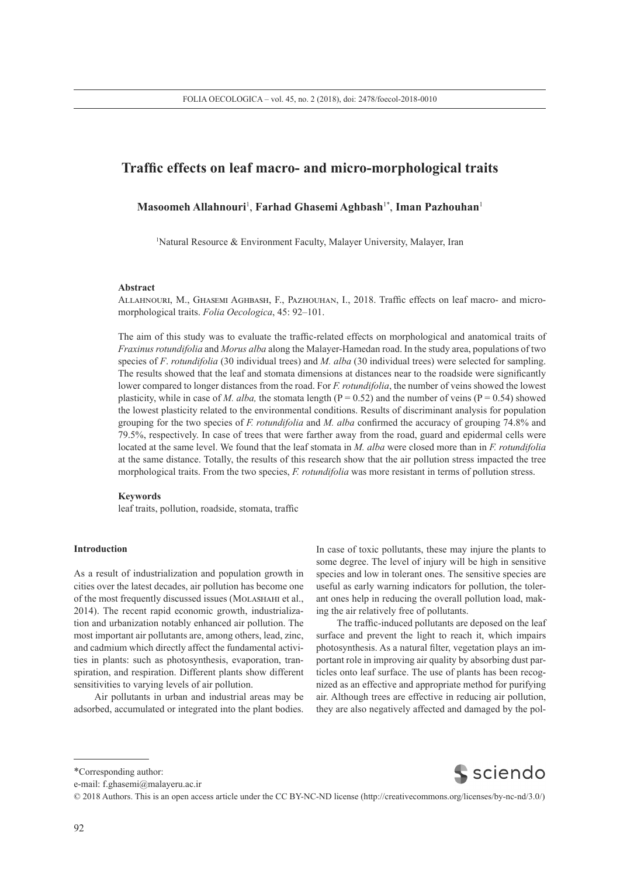# **Traffic effects on leaf macro- and micro-morphological traits**

# **Masoomeh Allahnouri**<sup>1</sup> , **Farhad Ghasemi Aghbash**1\*, **Iman Pazhouhan**<sup>1</sup>

1 Natural Resource & Environment Faculty, Malayer University, Malayer, Iran

#### **Abstract**

Allahnouri, M., Ghasemi Aghbash, F., Pazhouhan, I., 2018. Traffic effects on leaf macro- and micromorphological traits. *Folia Oecologica*, 45: 92–101.

The aim of this study was to evaluate the traffic-related effects on morphological and anatomical traits of *Fraxinus rotundifolia* and *Morus alba* along the Malayer-Hamedan road. In the study area, populations of two species of *F*. *rotundifolia* (30 individual trees) and *M. alba* (30 individual trees) were selected for sampling. The results showed that the leaf and stomata dimensions at distances near to the roadside were significantly lower compared to longer distances from the road. For *F. rotundifolia*, the number of veins showed the lowest plasticity, while in case of *M. alba*, the stomata length ( $P = 0.52$ ) and the number of veins ( $P = 0.54$ ) showed the lowest plasticity related to the environmental conditions. Results of discriminant analysis for population grouping for the two species of *F. rotundifolia* and *M. alba* confirmed the accuracy of grouping 74.8% and 79.5%, respectively. In case of trees that were farther away from the road, guard and epidermal cells were located at the same level. We found that the leaf stomata in *M. alba* were closed more than in *F. rotundifolia* at the same distance. Totally, the results of this research show that the air pollution stress impacted the tree morphological traits. From the two species, *F. rotundifolia* was more resistant in terms of pollution stress.

## **Keywords**

leaf traits, pollution, roadside, stomata, traffic

#### **Introduction**

As a result of industrialization and population growth in cities over the latest decades, air pollution has become one of the most frequently discussed issues (Molashahi et al., 2014). The recent rapid economic growth, industrialization and urbanization notably enhanced air pollution. The most important air pollutants are, among others, lead, zinc, and cadmium which directly affect the fundamental activities in plants: such as photosynthesis, evaporation, transpiration, and respiration. Different plants show different sensitivities to varying levels of air pollution.

Air pollutants in urban and industrial areas may be adsorbed, accumulated or integrated into the plant bodies.

In case of toxic pollutants, these may injure the plants to some degree. The level of injury will be high in sensitive species and low in tolerant ones. The sensitive species are useful as early warning indicators for pollution, the tolerant ones help in reducing the overall pollution load, making the air relatively free of pollutants.

The traffic-induced pollutants are deposed on the leaf surface and prevent the light to reach it, which impairs photosynthesis. As a natural filter, vegetation plays an important role in improving air quality by absorbing dust particles onto leaf surface. The use of plants has been recognized as an effective and appropriate method for purifying air. Although trees are effective in reducing air pollution, they are also negatively affected and damaged by the pol-

**S** sciendo

e-mail: f.ghasemi@malayeru.ac.ir

<sup>\*</sup>Corresponding author:

<sup>© 2018</sup> Authors. This is an open access article under the CC BY-NC-ND license (http://creativecommons.org/licenses/by-nc-nd/3.0/)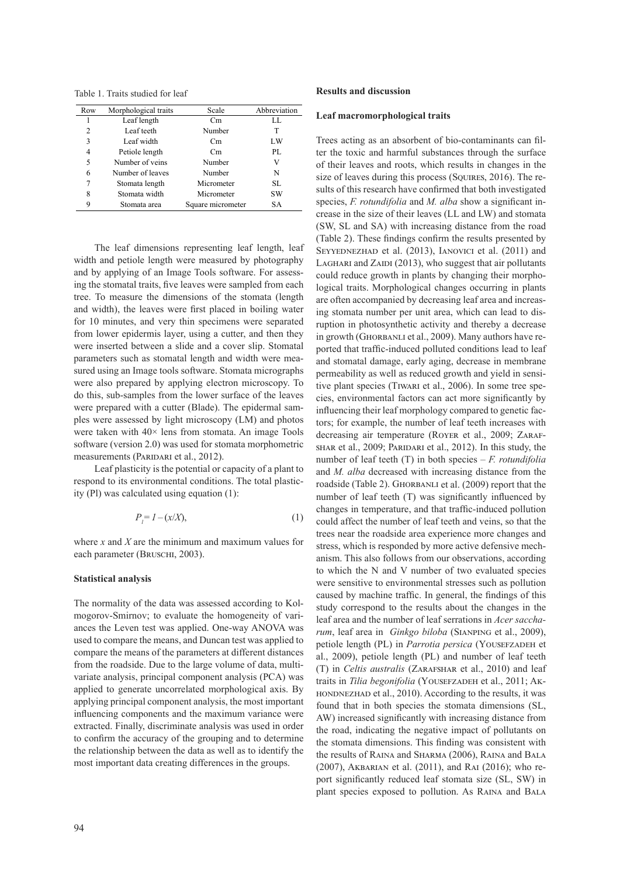Table 1. Traits studied for leaf

| Row | Morphological traits | Scale             | Abbreviation |
|-----|----------------------|-------------------|--------------|
| 1   | Leaf length          | Cm.               | LL.          |
| 2   | Leaf teeth           | Number            | T            |
| 3   | Leaf width           | Cm                | LW           |
| 4   | Petiole length       | Cm                | PI.          |
| 5   | Number of veins      | Number            | V            |
| 6   | Number of leaves     | Number            | N            |
| 7   | Stomata length       | Micrometer        | SL           |
| 8   | Stomata width        | Micrometer        | SW           |
| 9   | Stomata area         | Square micrometer | SА           |

The leaf dimensions representing leaf length, leaf width and petiole length were measured by photography and by applying of an Image Tools software. For assessing the stomatal traits, five leaves were sampled from each training  $\sum_{n=1}^{\infty}$  *Franciscus of the staggest* tree. To measure the dimensions of the stomata (length  $\sigma$ <sub>are c</sub> and width), the leaves were first placed in boiling water  $\frac{1}{10}$  stomata for 10 minutes, and very thin specimens were separated runtion in phot from lower epidermis layer, using a cutter, and then they  $\frac{1}{2}$  in growth (GHO were inserted between a slide and a cover slip. Stomatal ported that trafi parameters such as stomatal length and width were mea-<br>and stomatal da sured using an Image tools software. Stomata micrographs permeability as v were also prepared by applying electron microscopy. To  $\epsilon$  ive plant species  $\frac{d}{dt}$  do this, sub-samples from the lower surface of the leaves  $\frac{d}{dt}$  cies environment were prepared with a cutter (Blade). The epidermal samples were assessed by light microscopy (LM) and photos were taken with  $40\times$  lens from stomata. An image Tools software (version 2.0) was used for stomata morphometric measurements (PARIDARI et al., 2012).  $\frac{1}{2}$  were inserted between a side and a cover sitp. Stomatar sported that traffice

Leaf plasticity is the potential or capacity of a plant to respond to its environmental conditions. The total plasticity (Pl) was calculated using equation  $(1)$ :  $\frac{1}{2}$  number of le

$$
P_l = I - (x/X),\tag{1}
$$

where *x* and *X* are the minimum and maximum values for trees which is each parameter (BRUSCHI, 2003).

### **Statistical analysis**

The normality of the data was assessed according to Kolmogorov-Smirnov; to evaluate the homogeneity of variances the Leven test was applied. One-way ANOVA was used to compare the means, and Duncan test was applied to compare the means of the parameters at different distances from the roadside. Due to the large volume of data, multivariate analysis, principal component analysis (PCA) was applied to generate uncorrelated morphological axis. By applying principal component analysis, the most important influencing components and the maximum variance were extracted. Finally, discriminate analysis was used in order to confirm the accuracy of the grouping and to determine the relationship between the data as well as to identify the most important data creating differences in the groups.

#### **Leaf macromorphological traits**

Trees acting as an absorbent of bio-contaminants can filter the toxic and harmful substances through the surface of their leaves and roots, which results in changes in the size of leaves during this process (SQUIRES, 2016). The results of this research have confirmed that both investigated species, *F. rotundifolia* and *M. alba* show a significant increase in the size of their leaves (LL and LW) and stomata (SW, SL and SA) with increasing distance from the road (Table 2). These findings confirm the results presented by SEYYEDNEZHAD et al. (2013), IANOVICI et al. (2011) and LAGHARI and ZAIDI  $(2013)$ , who suggest that air pollutants could reduce growth in plants by changing their morphological traits. Morphological changes occurring in plants are often accompanied by decreasing leaf area and increasing stomata number per unit area, which can lead to disruption in photosynthetic activity and thereby a decrease in growth (GHORBANLI et al., 2009). Many authors have reported that traffic-induced polluted conditions lead to leaf and stomatal damage, early aging, decrease in membrane permeability as well as reduced growth and yield in sensitive plant species (Tiwari et al., 2006). In some tree species, environmental factors can act more significantly by influencing their leaf morphology compared to genetic factors; for example, the number of leaf teeth increases with decreasing air temperature (ROYER et al., 2009; ZARAFshar et al., 2009; Paridari et al., 2012). In this study, the number of leaf teeth (T) in both species – *F. rotundifolia*  and *M. alba* decreased with increasing distance from the roadside (Table 2). GHORBANLI et al. (2009) report that the number of leaf teeth (T) was significantly influenced by changes in temperature, and that traffic-induced pollution  $r_i^{-1} = 1 - (x/\lambda)$ , (1) could affect the number of leaf teeth and veins, so that the trees near the roadside area experience more changes and stress, which is responded by more active defensive mechanism. This also follows from our observations, according to which the N and V number of two evaluated species were sensitive to environmental stresses such as pollution caused by machine traffic. In general, the findings of this study correspond to the results about the changes in the leaf area and the number of leaf serrations in *Acer saccharum*, leaf area in *Ginkgo biloba* (Sianping et al., 2009), petiole length (PL) in *Parrotia persica* (YOUSEFZADEH et al., 2009), petiole length (PL) and number of leaf teeth (T) in *Celtis australis* (ZARAFSHAR et al., 2010) and leaf traits in *Tilia begonifolia* (YOUSEFZADEH et al., 2011; AK-HONDNEZHAD et al., 2010). According to the results, it was found that in both species the stomata dimensions (SL, AW) increased significantly with increasing distance from the road, indicating the negative impact of pollutants on the stomata dimensions. This finding was consistent with the results of Raina and Sharma (2006), Raina and Bala (2007), Akbarian et al. (2011), and Rai (2016); who report significantly reduced leaf stomata size (SL, SW) in plant species exposed to pollution. As Raina and Bala  $\frac{1}{2}$   $\frac{1}{2}$   $\frac{1}{2}$   $\frac{1}{2}$   $\frac{1}{2}$   $\frac{1}{2}$   $\frac{1}{2}$   $\frac{1}{2}$   $\frac{1}{2}$   $\frac{1}{2}$   $\frac{1}{2}$   $\frac{1}{2}$   $\frac{1}{2}$   $\frac{1}{2}$   $\frac{1}{2}$   $\frac{1}{2}$   $\frac{1}{2}$   $\frac{1}{2}$   $\frac{1}{2}$   $\frac{1}{2}$   $\frac{1}{2}$   $\frac{1}{2}$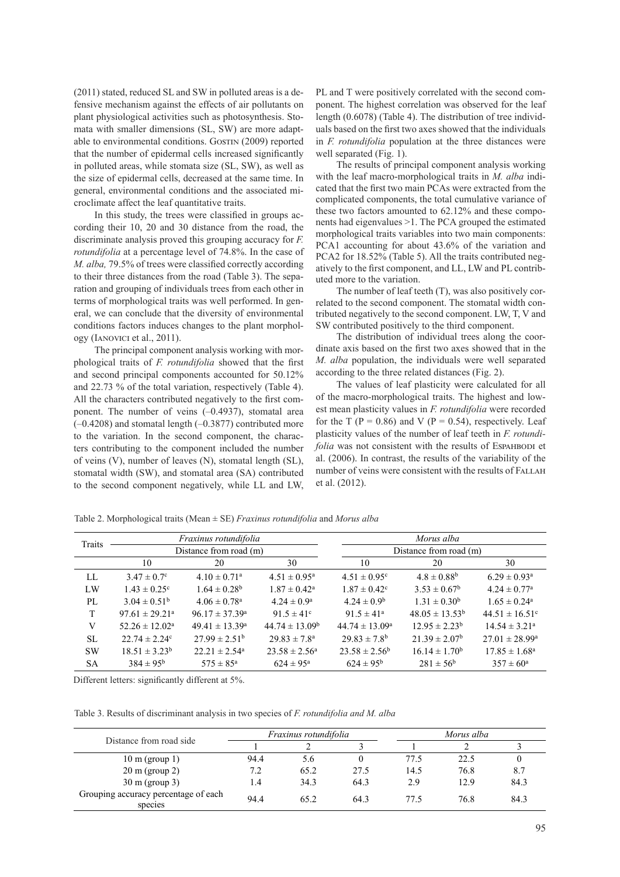(2011) stated, reduced SL and SW in polluted areas is a defensive mechanism against the effects of air pollutants on plant physiological activities such as photosynthesis. Stomata with smaller dimensions (SL, SW) are more adaptable to environmental conditions. Gostin (2009) reported that the number of epidermal cells increased significantly in polluted areas, while stomata size (SL, SW), as well as the size of epidermal cells, decreased at the same time. In general, environmental conditions and the associated microclimate affect the leaf quantitative traits.

In this study, the trees were classified in groups according their 10, 20 and 30 distance from the road, the discriminate analysis proved this grouping accuracy for *F. rotundifolia* at a percentage level of 74.8%. In the case of *M. alba,* 79.5% of trees were classified correctly according to their three distances from the road (Table 3). The separation and grouping of individuals trees from each other in terms of morphological traits was well performed. In gen-<br>related to the second compone eral, we can conclude that the diversity of environmental conditions factors induces changes to the plant morphology (Ianovici et al., 2011).

The principal component analysis working with morphological traits of *F. rotundifolia* showed that the first and second principal components accounted for 50.12% and 22.73 % of the total variation, respectively (Table 4). The values of leaf p All the characters contributed negatively to the first component. The number of veins (–0.4937), stomatal area (–0.4208) and stomatal length (–0.3877) contributed more to the variation. In the second component, the characters contributing to the component included the number of veins (V), number of leaves (N), stomatal length (SL), stomatal width (SW), and stomatal area (SA) contributed to the second component negatively, while LL and LW, et al. (2012). voiking w יי.

PL and T were positively correlated with the second component. The highest correlation was observed for the leaf length (0.6078) (Table 4). The distribution of tree individuals based on the first two axes showed that the individuals in *F. rotundifolia* population at the three distances were well separated (Fig. 1).

The results of principal component analysis working with the leaf macro-morphological traits in *M. alba* indicated that the first two main PCAs were extracted from the complicated components, the total cumulative variance of these two factors amounted to 62.12% and these components had eigenvalues >1. The PCA grouped the estimated morphological traits variables into two main components: PCA1 accounting for about 43.6% of the variation and PCA2 for 18.52% (Table 5). All the traits contributed negatively to the first component, and LL, LW and PL contributed more to the variation.

tributed negatively to the second component. LW, T, V and SW contributed positively to the third component. The number of leaf teeth (T), was also positively correlated to the second component. The stomatal width con-

The distribution of individual trees along the coor-<br>The distribution of individual trees along the coor-I The distribution of marvidual rices along the cool-<br>t analysis working with mor-<br>dinate axis based on the first two axes showed that in the *difolia* showed that the first *M. alba* population, the individuals were well separated  $\frac{2}{3}$  Leaf width Cm LW  $\frac{2}{3}$  Cording to the three related distances (Fig. 2).

 $\frac{4}{2}$  Petiod Countries (1996).<br>
The values of leaf plasticity were calculated for all  $\frac{1}{2}$  and  $\frac{1}{2}$  (Table 4).<br>d negatively to the first comns (-0.4937), stomatal area est mean plasticity values in *F. rotundifolia* were recorded  $h(-0.3877)$  contributed more for the T (P = 0.86) and V (P = 0.54), respectively. Leaf ond component the charac-<br>plasticity values of the number of leaf teeth in *F. rotundi*-<sub>b</sub> state component, the character is the same of  $\frac{1}{\pi}$  folia was not consistent with the results of EspahBodi et al. (2006). In contrast, the results of the variability of the number of veins were consistent with the results of FALLAH et al. (2012).

Table 2. Morphological traits (Mean  $\pm$  SE) *Fraxinus rotundifolia* and *Morus alba* 

| Traits       |                                | Fraxinus rotundifolia        |                            |                              | Morus alba                |                                |
|--------------|--------------------------------|------------------------------|----------------------------|------------------------------|---------------------------|--------------------------------|
|              | Distance from road (m)         |                              |                            | Distance from road (m)       |                           |                                |
|              | 10                             | 20                           | 30                         | 10                           | 20                        | 30                             |
| LL           | $3.47 \pm 0.7$ °               | $4.10 \pm 0.71$ <sup>a</sup> | $4.51 \pm 0.95^{\text{a}}$ | $4.51 \pm 0.95$ <sup>c</sup> | $4.8 \pm 0.88^b$          | $6.29 \pm 0.93$ <sup>a</sup>   |
| LW           | $1.43 \pm 0.25$ °              | $1.64 \pm 0.28^b$            | $1.87 \pm 0.42^{\text{a}}$ | $1.87 \pm 0.42$ <sup>c</sup> | $3.53 \pm 0.67^{\rm b}$   | $4.24 \pm 0.77$ <sup>a</sup>   |
| PL           | $3.04 \pm 0.51^{\rm b}$        | $4.06 \pm 0.78$ <sup>a</sup> | $4.24 \pm 0.9^{\rm a}$     | $4.24 \pm 0.9^b$             | $1.31 \pm 0.30^b$         | $1.65 \pm 0.24^{\circ}$        |
| <sup>T</sup> | $97.61 \pm 29.21$ <sup>a</sup> | $96.17 \pm 37.39^a$          | 91.5 $\pm$ 41 <sup>c</sup> | $91.5 \pm 41^a$              | $48.05 \pm 13.53^{\rm b}$ | $44.51 \pm 16.51$ <sup>c</sup> |
| V            | $52.26 \pm 12.02^{\text{a}}$   | $49.41 \pm 13.39^{\circ}$    | $44.74 \pm 13.09^{\rm b}$  | $44.74 \pm 13.09^{\circ}$    | $12.95 \pm 2.23^{\rm b}$  | $14.54 \pm 3.21^{\circ}$       |
| SL.          | $22.74 \pm 2.24^c$             | $27.99 \pm 2.51^{\rm b}$     | $29.83 \pm 7.8^{\circ}$    | $29.83 \pm 7.8$ <sup>b</sup> | $21.39 \pm 2.07^{\rm b}$  | $27.01 \pm 28.99^{\rm a}$      |
| <b>SW</b>    | $18.51 \pm 3.23^b$             | $22.21 \pm 2.54^{\circ}$     | $23.58 \pm 2.56^{\circ}$   | $23.58 \pm 2.56^b$           | $16.14 \pm 1.70^b$        | $17.85 \pm 1.68^{\circ}$       |
| SA           | $384 \pm 95^{\rm b}$           | $575 \pm 85^{\circ}$         | $624 \pm 95^{\circ}$       | $624 \pm 95^{\rm b}$         | $281 \pm 56^{\rm b}$      | $357 \pm 60^{\circ}$           |

Different letters: significantly different at 5%. Different letters: significantly different at 5%.

Table 3. Results of discriminant analysis in two species of *F. rotundifolia and M. alba* Table 3. Results of discriminant analysis in two species of *F. rotundifolia and M. alba*

|                                                 | <i>Fraxinus rotundifolia</i> |      |      |      | Morus alba |      |  |
|-------------------------------------------------|------------------------------|------|------|------|------------|------|--|
| Distance from road side                         |                              |      |      |      |            |      |  |
| $10 \text{ m}$ (group 1)                        | 94.4                         | 5.6  |      | 77.5 | 22.5       |      |  |
| $20 \text{ m}$ (group 2)                        | 7.2                          | 65.2 | 27.5 | 14.5 | 76.8       | 8.7  |  |
| $30 \text{ m}$ (group 3)                        | $\overline{1.4}$             | 34.3 | 64.3 | 2.9  | 12.9       | 84.3 |  |
| Grouping accuracy percentage of each<br>species | 94.4                         | 65.2 | 64.3 | 77.5 | 76.8       | 84.3 |  |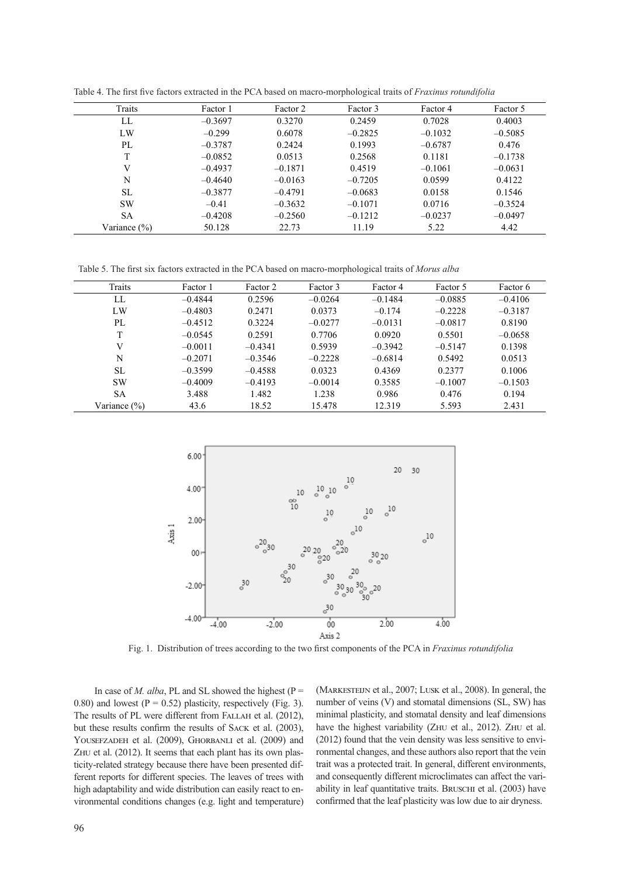| Traits           | Factor 1  | Factor 2  | Factor 3  | Factor 4  | Factor 5  |
|------------------|-----------|-----------|-----------|-----------|-----------|
| LL               | $-0.3697$ | 0.3270    | 0.2459    | 0.7028    | 0.4003    |
| LW               | $-0.299$  | 0.6078    | $-0.2825$ | $-0.1032$ | $-0.5085$ |
| PL               | $-0.3787$ | 0.2424    | 0.1993    | $-0.6787$ | 0.476     |
| T                | $-0.0852$ | 0.0513    | 0.2568    | 0.1181    | $-0.1738$ |
| V                | $-0.4937$ | $-0.1871$ | 0.4519    | $-0.1061$ | $-0.0631$ |
| N                | $-0.4640$ | $-0.0163$ | $-0.7205$ | 0.0599    | 0.4122    |
| SL               | $-0.3877$ | $-0.4791$ | $-0.0683$ | 0.0158    | 0.1546    |
| <b>SW</b>        | $-0.41$   | $-0.3632$ | $-0.1071$ | 0.0716    | $-0.3524$ |
| <b>SA</b>        | $-0.4208$ | $-0.2560$ | $-0.1212$ | $-0.0237$ | $-0.0497$ |
| Variance $(\% )$ | 50.128    | 22.73     | 11.19     | 5.22      | 4.42      |

Table 4. The first five factors extracted in the PCA based on macro-morphological traits of Fraxinus rotundifolia

Table 5. The first six factors extracted in the PCA based on macro-morphological traits of *Morus alba* Table 5. The first six factors extracted in the PCA based on macro-morphological traits of *Morus alba*

| SА                     | $-0.4208$                                                                                             | $-0.2560$        |                                                          | $-0.1212$                                                     | $-0.0237$       | $-0.0497$ |
|------------------------|-------------------------------------------------------------------------------------------------------|------------------|----------------------------------------------------------|---------------------------------------------------------------|-----------------|-----------|
| Variance (%)           | 50.128                                                                                                | 22.73            |                                                          | 11.19                                                         | 5.22            | 4.42      |
|                        | Table 5. The first six factors extracted in the PCA based on macro-morphological traits of Morus alba |                  |                                                          |                                                               |                 |           |
| Traits                 | Factor 1                                                                                              | Factor 2         | Factor 3                                                 | Factor 4                                                      | Factor 5        | Factor 6  |
| ${\rm LL}$             | $-0.4844$                                                                                             | 0.2596           | $-0.0264$                                                | $-0.1484$                                                     | $-0.0885$       | $-0.4106$ |
| LW                     | $-0.4803$                                                                                             | 0.2471           | 0.0373                                                   | $-0.174$                                                      | $-0.2228$       | $-0.3187$ |
| $\mathbf{P}\mathbf{L}$ | $-0.4512$                                                                                             | 0.3224           | $-0.0277$                                                | $-0.0131$                                                     | $-0.0817$       | 0.8190    |
| T                      | $-0.0545$                                                                                             | 0.2591           | 0.7706                                                   | 0.0920                                                        | 0.5501          | $-0.0658$ |
| V                      | $-0.0011$                                                                                             | $-0.4341$        | 0.5939                                                   | $-0.3942$                                                     | $-0.5147$       | 0.1398    |
| N                      | $-0.2071$                                                                                             | $-0.3546$        | $-0.2228$                                                | $-0.6814$                                                     | 0.5492          | 0.0513    |
| SL                     | $-0.3599$                                                                                             | $-0.4588$        | 0.0323                                                   | 0.4369                                                        | 0.2377          | 0.1006    |
| SW                     | $-0.4009$                                                                                             | $-0.4193$        | $-0.0014$                                                | 0.3585                                                        | $-0.1007$       | $-0.1503$ |
| SA                     | 3.488                                                                                                 | 1.482            | 1.238                                                    | 0.986                                                         | 0.476           | 0.194     |
| Variance (%)           | 43.6                                                                                                  | 18.52            | 15.478                                                   | 12.319                                                        | 5.593           | 2.431     |
|                        | $6.00*$                                                                                               |                  |                                                          | 20                                                            | 30              |           |
|                        | $4.00 -$<br>$2.00 +$                                                                                  | $^{\rm oo}_{10}$ | $^{10}_{\circ}$ $^{10}_{\circ}$<br>10<br>$_{\circ}^{10}$ | 10<br>$\sigma$ <sup>10</sup><br>10<br>$\circ$<br>$\circ^{10}$ |                 |           |
|                        | Axis 1                                                                                                | 20               | 20                                                       |                                                               | $_{\rm o}^{10}$ |           |



Fig. 1. Distribution of trees according to the two first components of the PCA in *Fraxinus rotundifolia* Fig. 1. Distribution of trees according to the two first components of the PCA in *Fraxinus rotundifolia.*

In case of *M. alba*, PL and SL showed the highest ( $P =$ 0.80) and lowest ( $P = 0.52$ ) plasticity, respectively (Fig. 3). The results of PL were different from FALLAH et al. (2012), but these results confirm the results of Sack et al. (2003), YOUSEFZADEH et al. (2009), GHORBANLI et al. (2009) and ZHU et al. (2012). It seems that each plant has its own plasticity-related strategy because there have been presented different reports for different species. The leaves of trees with high adaptability and wide distribution can easily react to environmental conditions changes (e.g. light and temperature)

(Markesteijn et al., 2007; Lusk et al., 2008). In general, the number of veins (V) and stomatal dimensions (SL, SW) has minimal plasticity, and stomatal density and leaf dimensions have the highest variability (ZHU et al., 2012). ZHU et al. (2012) found that the vein density was less sensitive to environmental changes, and these authors also report that the vein trait was a protected trait. In general, different environments, and consequently different microclimates can affect the variability in leaf quantitative traits. Bruschi et al. (2003) have confirmed that the leaf plasticity was low due to air dryness.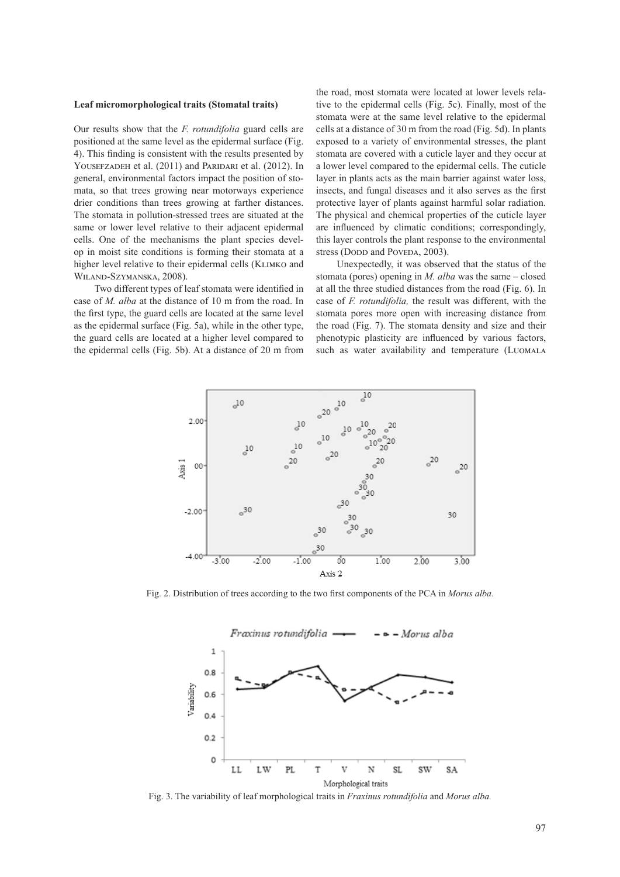#### **Leaf micromorphological traits (Stomatal traits)**

Our results show that the *F. rotundifolia* guard cells are positioned at the same level as the epidermal surface (Fig. 4). This finding is consistent with the results presented by YOUSEFZADEH et al. (2011) and PARIDARI et al. (2012). In general, environmental factors impact the position of stomata, so that trees growing near motorways experience drier conditions than trees growing at farther distances. The stomata in pollution-stressed trees are situated at the same or lower level relative to their adjacent epidermal cells. One of the mechanisms the plant species develop in moist site conditions is forming their stomata at a higher level relative to their epidermal cells (KLIMKO and Wiland-Szymanska, 2008).

Two different types of leaf stomata were identified in case of *M. alba* at the distance of 10 m from the road. In Fig. 1. Distribution of the first type, the guard cells are located at the same level stomata pores more open with inc as the epidermal surface (Fig. 5a), while in the other type, the guard cells are located at a higher level compared to the epidermal cells (Fig. 5b). At a distance of 20 m from such as water availability are

the road, most stomata were located at lower levels relative to the epidermal cells (Fig. 5c). Finally, most of the stomata were at the same level relative to the epidermal cells at a distance of 30 m from the road (Fig. 5d). In plants exposed to a variety of environmental stresses, the plant stomata are covered with a cuticle layer and they occur at a lower level compared to the epidermal cells. The cuticle layer in plants acts as the main barrier against water loss, insects, and fungal diseases and it also serves as the first protective layer of plants against harmful solar radiation. The physical and chemical properties of the cuticle layer are influenced by climatic conditions; correspondingly, this layer controls the plant response to the environmental stress (Dopp and Poveda, 2003).

Unexpectedly, it was observed that the status of the stomata (pores) opening in *M. alba* was the same – closed at all the three studied distances from the road (Fig. 6). In case of *F. rotundifolia,* the result was different, with the stomata pores more open with increasing distance from the road (Fig. 7). The stomata density and size and their phenotypic plasticity are influenced by various factors, such as water availability and temperature (LUOMALA



Fig. 2. Distribution of trees according to the two first components of the PCA in *Morus alba*. Fig. 2. Distribution of trees according to the two first components of the PCA in *Morus alba*.



Fig. 3. The variability of leaf morphological traits in *Fraxinus rotundifolia* and *Morus alba.*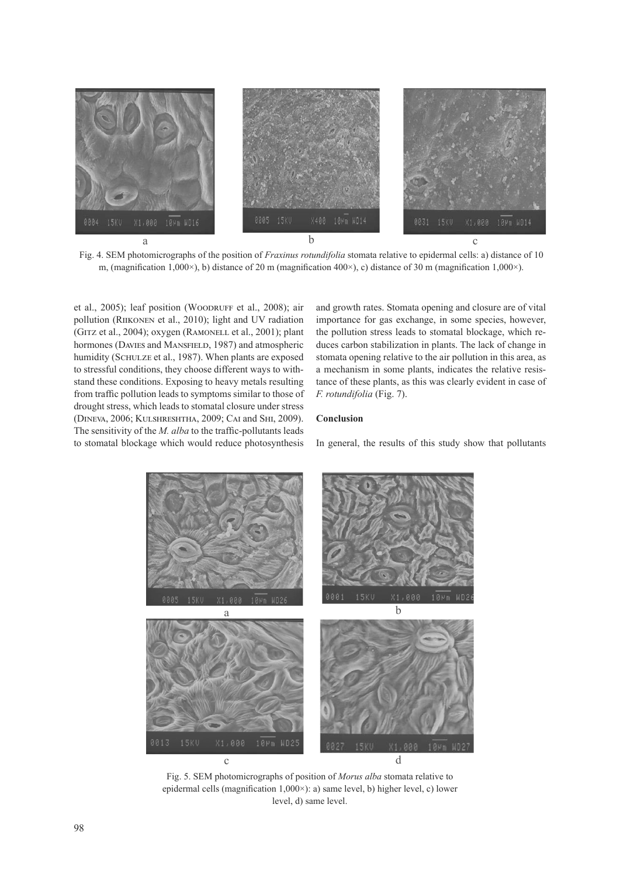

m, (magnification 1,000 $\times$ ), b) distance of 20 m (magnification 400 $\times$ ), c) distance of 30 m (magnification 1,000 $\times$ ). Fig. 4. SEM photomicrographs of the position of *Fraxinus rotundifolia* stomata relative to epidermal cells: a) distance of 10

et al., 2005); leaf position (WOODRUFF et al., 2008); air pollution (Riikonen et al., 2010); light and UV radiation (GITZ et al., 2004); oxygen (RAMONELL et al., 2001); plant hormones (DAVIES and MANSFIELD, 1987) and atmospheric humidity (SCHULZE et al., 1987). When plants are exposed to stressful conditions, they choose different ways to withstand these conditions. Exposing to heavy metals resulting from traffic pollution leads to symptoms similar to those of drought stress, which leads to stomatal closure under stress (Dineva, 2006; Kulshreshtha, 2009; Cai and Shi, 2009). The sensitivity of the *M. alba* to the traffic-pollutants leads to stomatal blockage which would reduce photosynthesis

and growth rates. Stomata opening and closure are of vital importance for gas exchange, in some species, however, the pollution stress leads to stomatal blockage, which reduces carbon stabilization in plants. The lack of change in stomata opening relative to the air pollution in this area, as a mechanism in some plants, indicates the relative resistance of these plants, as this was clearly evident in case of *F. rotundifolia* (Fig. 7).

# **Conclusion**

In general, the results of this study show that pollutants



epidermal cells (magnification 1,000×): a) same level, b) higher level, c) lower level, d) same level. Fig. 5. SEM photomicrographs of position of *Morus alba* stomata relative to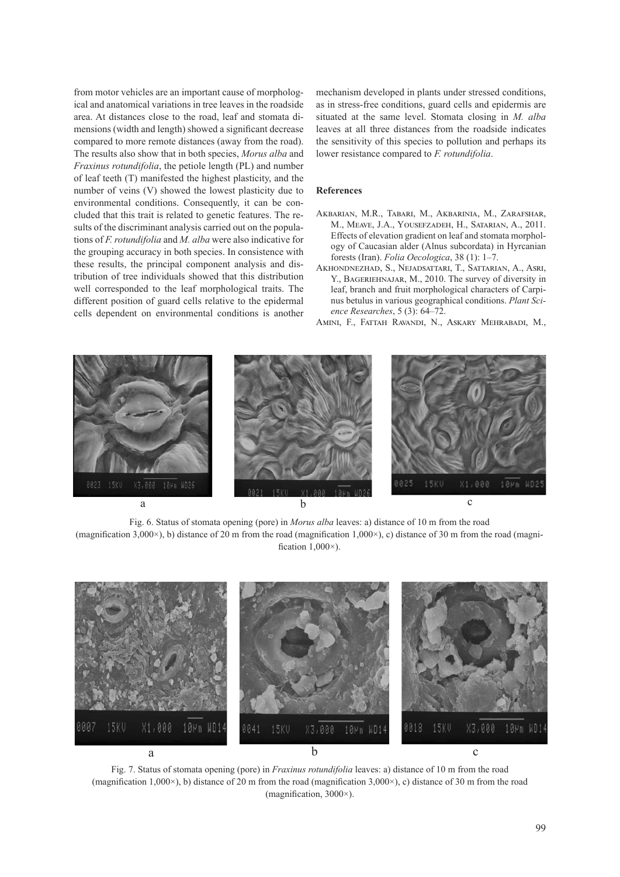from motor vehicles are an important cause of morphologif in the ventures are an important cause of morpholog-<br>ical and anatomical variations in tree leaves in the roadside as in stress-free co area. At distances close to the road, leaf and stomata dimensions (width and length) showed a significant decrease compared to more remote distances (away from the road). The results also show that in both species, *Morus alba* and *Fraxinus rotundifolia*, the petiole length (PL) and number of leaf teeth (T) manifested the highest plasticity, and the number of veins (V) showed the lowest plasticity due to environmental conditions. Consequently, it can be concluded that this trait is related to genetic features. The results of the discriminant analysis carried out on the populations of *F. rotundifolia* and *M. alba* were also indicative for the grouping accuracy in both species. In consistence with  $\frac{\log y}{\log x}$  (Iran) E these results, the principal component analysis and distribution of tree individuals showed that this distribution T. BAGERIEHNAJAR, M., 2010. The survey of diversity in well corresponded to the leaf morphological traits. The leaf, branch and fr different position of guard cells relative to the epidermal cells dependent on environmental conditions is another

mechanism developed in plants under stressed conditions, as in stress-free conditions, guard cells and epidermis are situated at the same level. Stomata closing in *M. alba* leaves at all three distances from the roadside indicates the sensitivity of this species to pollution and perhaps its lower resistance compared to *F. rotundifolia*.

## **References**

- Akbarian, M.R., Tabari, M., Akbarinia, M., Zarafshar, M., Meave, J.A., Yousefzadeh, H., Satarian, A., 2011. Effects of elevation gradient on leaf and stomata morphology of Caucasian alder (Alnus subcordata) in Hyrcanian forests (Iran). *Folia Oecologica*, 38 (1): 1–7.
- Akhondnezhad, S., Nejadsattari, T., Sattarian, A., Asri, Y., Bageriehnajar, M., 2010. The survey of diversity in leaf, branch and fruit morphological characters of Carpinus betulus in various geographical conditions. *Plant Science Researches*, 5 (3): 64–72.
- Amini, F., Fattah Ravandi, N., Askary Mehrabadi, M.,



(magnification 3,000 $\times$ ), b) distance of 20 m from the road (magnification 1,000 $\times$ ), c) distance of 30 m from the road (magni-Fig. 6. Status of stomata opening (pore) in *Morus alba* leaves: a) distance of 10 m from the road fication  $1,000\times$ ).

 $\ldots$   $\ldots$   $\ldots$   $\ldots$   $\ldots$   $\ldots$   $\ldots$   $\ldots$   $\ldots$   $\ldots$ 



(magnification 1,000 $\times$ ), b) distance of 20 m from the road (magnification 3,000 $\times$ ), c) distance of 30 m from the road 1,000×), b) distance of 20 m from the road (magnification 3,000×), c) distance of 30 m from the road (magnification ,3000×). Fig. 7. Status of stomata opening (pore) in *Fraxinus rotundifolia* leaves: a) distance of 10 m from the road (magnification, 3000×).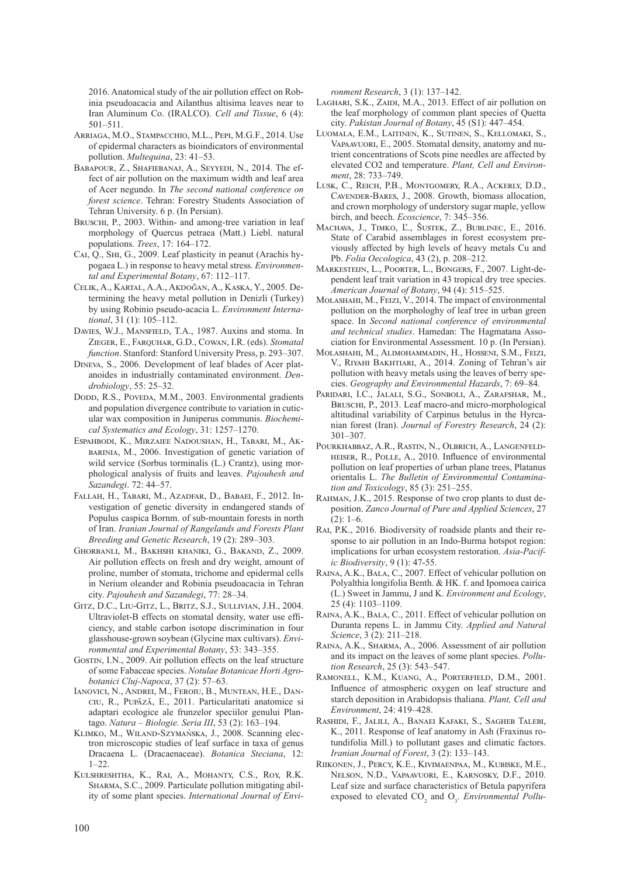2016. Anatomical study of the air pollution effect on Robinia pseudoacacia and Ailanthus altisima leaves near to Iran Aluminum Co. (IRALCO). *Cell and Tissue*, 6 (4): 501–511.

- Arriaga, M.O., Stampacchio, M.L., Pepi, M.G.F., 2014. Use of epidermal characters as bioindicators of environmental pollution. *Multequina*, 23: 41–53.
- Babapour, Z., Shafiebanaj, A., Seyyedi, N., 2014. The effect of air pollution on the maximum width and leaf area of Acer negundo. In *The second national conference on forest science*. Tehran: Forestry Students Association of Tehran University. 6 p. (In Persian).
- BRUSCHI, P., 2003. Within- and among-tree variation in leaf morphology of Quercus petraea (Matt.) Liebl. natural populations. *Trees*, 17: 164–172.
- Cai, Q., Shi, G., 2009. Leaf plasticity in peanut (Arachis hypogaea L.) in response to heavy metal stress. *Environmental and Experimental Botany*, 67: 112–117.
- Celik, A., Kartal, A.A., Akdoğan, A., Kaska, Y., 2005. Determining the heavy metal pollution in Denizli (Turkey) by using Robinio pseudo-acacia L. *Environment International*, 31 (1): 105–112.
- DAVIES, W.J., MANSFIELD, T.A., 1987. Auxins and stoma. In Zieger, E., Farquhar, G.D., Cowan, I.R. (eds). *Stomatal function*. Stanford: Stanford University Press, p. 293–307.
- Dineva, S., 2006. Development of leaf blades of Acer platanoides in industrially contaminated environment. *Dendrobiology*, 55: 25–32.
- Dodd, R.S., Poveda, M.M., 2003. Environmental gradients and population divergence contribute to variation in cuticular wax composition in Juniperus communis. *Biochemical Systematics and Ecology*, 31: 1257–1270.
- Espahbodi, K., Mirzaiee Nadoushan, H., Tabari, M., Akbarinia, M., 2006. Investigation of genetic variation of wild service (Sorbus torminalis (L.) Crantz), using morphological analysis of fruits and leaves. *Pajouhesh and Sazandegi*. 72: 44–57.
- Fallah, H., Tabari, M., Azadfar, D., Babaei, F., 2012. Investigation of genetic diversity in endangered stands of Populus caspica Bornm. of sub-mountain forests in north of Iran. *Iranian Journal of Rangelands and Forests Plant Breeding and Genetic Research*, 19 (2): 289–303.
- Ghorbanli, M., Bakhshi khaniki, G., Bakand, Z., 2009. Air pollution effects on fresh and dry weight, amount of proline, number of stomata, trichome and epidermal cells in Nerium oleander and Robinia pseudoacacia in Tehran city. *Pajouhesh and Sazandegi*, 77: 28–34.
- Gitz, D.C., Liu-Gitz, L., Britz, S.J., Sullivian, J.H., 2004. Ultraviolet-B effects on stomatal density, water use efficiency, and stable carbon isotope discrimination in four glasshouse-grown soybean (Glycine max cultivars). *Environmental and Experimental Botany*, 53: 343–355.
- GOSTIN, I.N., 2009. Air pollution effects on the leaf structure of some Fabaceae species. *Notulae Botanicae Horti Agrobotanici Cluj-Napoca*, 37 (2): 57–63.
- Ianovici, N., Andrei, M., Feroiu, B., Muntean, H.E., Danciu, R., Pupăză, E., 2011. Particularitati anatomice si adaptari ecologice ale frunzelor speciilor genului Plantago. *Natura – Biologie. Seria III*, 53 (2): 163–194.
- Klimko, M., Wiland-Szymańska, J., 2008. Scanning electron microscopic studies of leaf surface in taxa of genus Dracaena L. (Dracaenaceae). *Botanica Steciana*, 12:  $1 - 22.$
- Kulshreshtha, K., Rai, A., Mohanty, C.S., Roy, R.K. SHARMA, S.C., 2009. Particulate pollution mitigating ability of some plant species. *International Journal of Envi-*

*ronment Research*, 3 (1): 137–142.

- LAGHARI, S.K., ZAIDI, M.A., 2013. Effect of air pollution on the leaf morphology of common plant species of Quetta city. *Pakistan Journal of Botany*, 45 (S1): 447–454.
- Luomala, E.M., Laitinen, K., Sutinen, S., Kellomaki, S., Vapaavuori, E., 2005. Stomatal density, anatomy and nutrient concentrations of Scots pine needles are affected by elevated CO2 and temperature. *Plant, Cell and Environment*, 28: 733–749.
- Lusk, C., Reich, P.B., Montgomery, R.A., Ackerly, D.D., Cavender-Bares, J., 2008. Growth, biomass allocation, and crown morphology of understory sugar maple, yellow birch, and beech. *Ecoscience*, 7: 345–356.
- Machava, J., Timko, Ľ., Šustek, Z., Bublinec, E., 2016. State of Carabid assemblages in forest ecosystem previously affected by high levels of heavy metals Cu and Pb. *Folia Oecologica*, 43 (2), p. 208–212.
- MARKESTEIJN, L., POORTER, L., BONGERS, F., 2007. Light-dependent leaf trait variation in 43 tropical dry tree species. *American Journal of Botany*, 94 (4): 515–525.
- Molashahi, M., Feizi, V., 2014. The impact of environmental pollution on the morphologhy of leaf tree in urban green space. In *Second national conference of environmental and technical studies*. Hamedan: The Hagmatana Association for Environmental Assessment. 10 p. (In Persian).
- Molashahi, M., Alimohammadin, H., Hosseni, S.M., Feizi, V., Riyahi Bakhtiari, A., 2014. Zoning of Tehran's air pollution with heavy metals using the leaves of berry species. *Geography and Environmental Hazards*, 7: 69–84.
- PARIDARI, I.C., JALALI, S.G., SONBOLI, A., ZARAFSHAR, M., BRUSCHI, P., 2013. Leaf macro-and micro-morphological altitudinal variability of Carpinus betulus in the Hyrcanian forest (Iran). *Journal of Forestry Research*, 24 (2): 301–307.
- Pourkhabbaz, A.R., Rastin, N., Olbrich, A., Langenfeldheiser, R., Polle, A., 2010. Influence of environmental pollution on leaf properties of urban plane trees, Platanus orientalis L. *The Bulletin of Environmental Contamination and Toxicology*, 85 (3): 251–255.
- Rahman, J.K., 2015. Response of two crop plants to dust deposition. *Zanco Journal of Pure and Applied Sciences*, 27  $(2): 1-6.$
- Rai, P.K., 2016. Biodiversity of roadside plants and their response to air pollution in an Indo-Burma hotspot region: implications for urban ecosystem restoration. *Asia-Pacific Biodiversity*, 9 (1): 47-55.
- Raina, A.K., Bala, C., 2007. Effect of vehicular pollution on Polyalthia longifolia Benth. & HK. f. and Ipomoea cairica (L.) Sweet in Jammu, J and K. *Environment and Ecology*, 25 (4): 1103–1109.
- RAINA, A.K., BALA, C., 2011. Effect of vehicular pollution on Duranta repens L. in Jammu City. *Applied and Natural Science*, 3 (2): 211–218.
- Raina, A.K., Sharma, A., 2006. Assessment of air pollution and its impact on the leaves of some plant species. *Pollution Research*, 25 (3): 543–547.
- Ramonell, K.M., Kuang, A., Porterfield, D.M., 2001. Influence of atmospheric oxygen on leaf structure and starch deposition in Arabidopsis thaliana. *Plant, Cell and Environment*, 24: 419–428.
- Rashidi, F., Jalili, A., Banaei Kafaki, S., Sagheb Talebi, K., 2011. Response of leaf anatomy in Ash (Fraxinus rotundifolia Mill.) to pollutant gases and climatic factors. *Iranian Journal of Forest*, 3 (2): 133–143.
- Riikonen, J., Percy, K.E., Kivimaenpaa, M., Kubiske, M.E., Nelson, N.D., Vapaavuori, E., Karnosky, D.F., 2010. Leaf size and surface characteristics of Betula papyrifera exposed to elevated CO<sub>2</sub> and O<sub>3</sub>. *Environmental Pollu-*